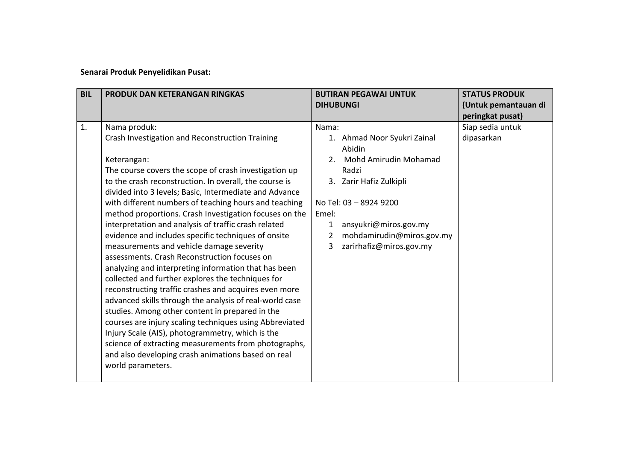## **Senarai Produk Penyelidikan Pusat:**

| <b>BIL</b> | PRODUK DAN KETERANGAN RINGKAS                                                                                                                                                                                                                                                                                                                                                                                                                                                                                                                                                                                                  | <b>BUTIRAN PEGAWAI UNTUK</b><br><b>DIHUBUNGI</b>                                                                                                                                                                                      | <b>STATUS PRODUK</b><br>(Untuk pemantauan di |
|------------|--------------------------------------------------------------------------------------------------------------------------------------------------------------------------------------------------------------------------------------------------------------------------------------------------------------------------------------------------------------------------------------------------------------------------------------------------------------------------------------------------------------------------------------------------------------------------------------------------------------------------------|---------------------------------------------------------------------------------------------------------------------------------------------------------------------------------------------------------------------------------------|----------------------------------------------|
|            |                                                                                                                                                                                                                                                                                                                                                                                                                                                                                                                                                                                                                                |                                                                                                                                                                                                                                       | peringkat pusat)                             |
| 1.         | Nama produk:<br>Crash Investigation and Reconstruction Training<br>Keterangan:<br>The course covers the scope of crash investigation up<br>to the crash reconstruction. In overall, the course is<br>divided into 3 levels; Basic, Intermediate and Advance<br>with different numbers of teaching hours and teaching<br>method proportions. Crash Investigation focuses on the<br>interpretation and analysis of traffic crash related<br>evidence and includes specific techniques of onsite                                                                                                                                  | Nama:<br>1. Ahmad Noor Syukri Zainal<br>Abidin<br>Mohd Amirudin Mohamad<br>2.<br>Radzi<br>Zarir Hafiz Zulkipli<br>3.<br>No Tel: 03 - 8924 9200<br>Emel:<br>ansyukri@miros.gov.my<br>1.<br>mohdamirudin@miros.gov.my<br>$\overline{2}$ | Siap sedia untuk<br>dipasarkan               |
|            | measurements and vehicle damage severity<br>assessments. Crash Reconstruction focuses on<br>analyzing and interpreting information that has been<br>collected and further explores the techniques for<br>reconstructing traffic crashes and acquires even more<br>advanced skills through the analysis of real-world case<br>studies. Among other content in prepared in the<br>courses are injury scaling techniques using Abbreviated<br>Injury Scale (AIS), photogrammetry, which is the<br>science of extracting measurements from photographs,<br>and also developing crash animations based on real<br>world parameters. | zarirhafiz@miros.gov.my<br>3                                                                                                                                                                                                          |                                              |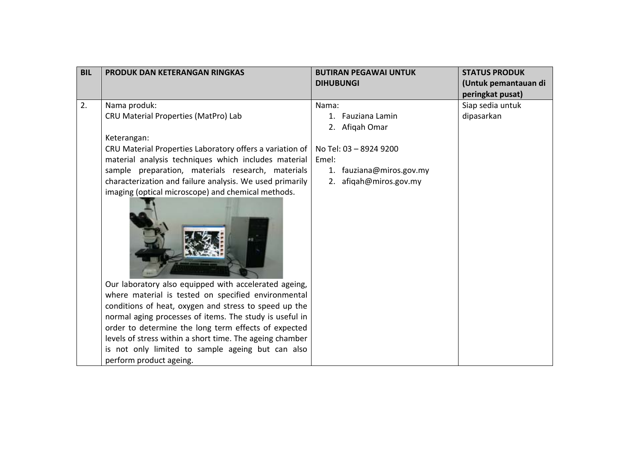| <b>BIL</b> | PRODUK DAN KETERANGAN RINGKAS                            | <b>BUTIRAN PEGAWAI UNTUK</b> | <b>STATUS PRODUK</b> |
|------------|----------------------------------------------------------|------------------------------|----------------------|
|            |                                                          | <b>DIHUBUNGI</b>             | (Untuk pemantauan di |
|            |                                                          |                              | peringkat pusat)     |
| 2.         | Nama produk:                                             | Nama:                        | Siap sedia untuk     |
|            | CRU Material Properties (MatPro) Lab                     | 1. Fauziana Lamin            | dipasarkan           |
|            |                                                          | 2. Afiqah Omar               |                      |
|            | Keterangan:                                              |                              |                      |
|            | CRU Material Properties Laboratory offers a variation of | No Tel: 03 - 8924 9200       |                      |
|            | material analysis techniques which includes material     | Emel:                        |                      |
|            | sample preparation, materials research, materials        | 1. fauziana@miros.gov.my     |                      |
|            | characterization and failure analysis. We used primarily | 2. afigah@miros.gov.my       |                      |
|            | imaging (optical microscope) and chemical methods.       |                              |                      |
|            | Our laboratory also equipped with accelerated ageing,    |                              |                      |
|            | where material is tested on specified environmental      |                              |                      |
|            | conditions of heat, oxygen and stress to speed up the    |                              |                      |
|            | normal aging processes of items. The study is useful in  |                              |                      |
|            | order to determine the long term effects of expected     |                              |                      |
|            | levels of stress within a short time. The ageing chamber |                              |                      |
|            | is not only limited to sample ageing but can also        |                              |                      |
|            | perform product ageing.                                  |                              |                      |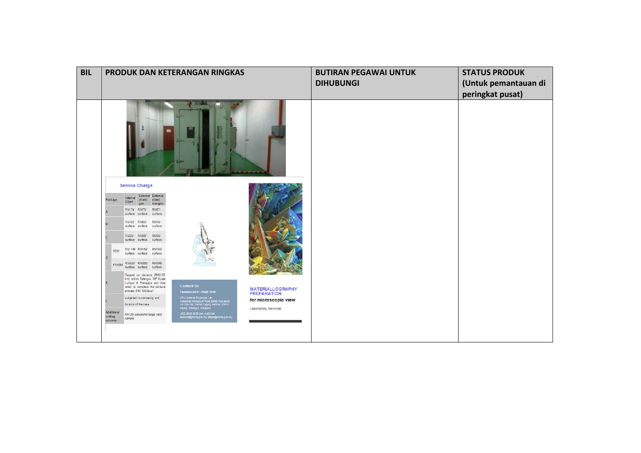|                                  |                                                                                                                                                          |                                      | PRODUK DAN KETERANGAN RINGKAS                                                                                           |                                            | <b>BUTIRAN PEGAWAI UNTUK</b> | <b>STATUS PRODUK</b> |
|----------------------------------|----------------------------------------------------------------------------------------------------------------------------------------------------------|--------------------------------------|-------------------------------------------------------------------------------------------------------------------------|--------------------------------------------|------------------------------|----------------------|
|                                  |                                                                                                                                                          |                                      |                                                                                                                         |                                            | <b>DIHUBUNGI</b>             | (Untuk pemantauan di |
|                                  |                                                                                                                                                          |                                      |                                                                                                                         |                                            |                              | peringkat pusat)     |
|                                  |                                                                                                                                                          |                                      |                                                                                                                         |                                            |                              |                      |
| Package                          | <b>Service Charge</b><br>Internal                                                                                                                        | External External<br>client: client: |                                                                                                                         |                                            |                              |                      |
|                                  | Client<br>gov.<br>RM 70 RM75/                                                                                                                            | non-gov.<br><b>RM87/</b>             |                                                                                                                         |                                            |                              |                      |
|                                  | surface surface surface<br>RM 62 RM65/                                                                                                                   | RM76/                                |                                                                                                                         |                                            |                              |                      |
|                                  | surface surface surface                                                                                                                                  |                                      |                                                                                                                         |                                            |                              |                      |
|                                  | RM30/ RM35/ RM38/<br>surface surface surface                                                                                                             |                                      |                                                                                                                         |                                            |                              |                      |
| <b>SEM</b><br>$\Omega$           | RM 145/ RM152 RM180<br>surface surface surface                                                                                                           |                                      |                                                                                                                         |                                            |                              |                      |
|                                  | FESEM RM320 RM350 RM395<br>surface surface surface                                                                                                       |                                      |                                                                                                                         |                                            |                              |                      |
|                                  | Depend on distance (RM2.00)<br>km), within Selangor, WP Kuala<br>Lumpur & Putrajaya and time<br>taken to complete the retrieval<br>process (RM 100/hour) |                                      | <b>Contact Us</b><br>Fauziana Lamin / Afigah Omar                                                                       | <b>MATERIALLOGRAPHY</b>                    |                              |                      |
|                                  | subjected to complexity and<br>location of the case                                                                                                      |                                      | CRU Material Properties Lab<br>Malayslan Institute of Road Safety Research,<br>Lot 125-135, Taman Kajang Sentral, 43000 | <b>PREPARATION</b><br>for microscopic view |                              |                      |
| Additional<br>cutting<br>process | RM 20' sample for large/ hard<br>sample                                                                                                                  |                                      | Kajang, Selangor, Malaysia<br>(603) 8924 9200 (ext: 448)/444<br>fauziana@miros.gov.my afiqan@miros.gov.my               | <b>Laboratory Services</b>                 |                              |                      |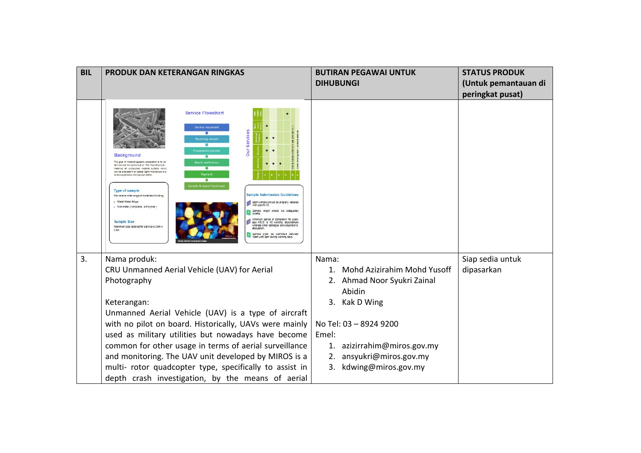| <b>BIL</b> | PRODUK DAN KETERANGAN RINGKAS                                                                                                                                                                                                                                                                                                                                                                                                                                                                                                                                                                                                                                                                                                                                                                                                                                                                                                                                                                                                                                                                     | <b>BUTIRAN PEGAWAI UNTUK</b>   | <b>STATUS PRODUK</b> |
|------------|---------------------------------------------------------------------------------------------------------------------------------------------------------------------------------------------------------------------------------------------------------------------------------------------------------------------------------------------------------------------------------------------------------------------------------------------------------------------------------------------------------------------------------------------------------------------------------------------------------------------------------------------------------------------------------------------------------------------------------------------------------------------------------------------------------------------------------------------------------------------------------------------------------------------------------------------------------------------------------------------------------------------------------------------------------------------------------------------------|--------------------------------|----------------------|
|            |                                                                                                                                                                                                                                                                                                                                                                                                                                                                                                                                                                                                                                                                                                                                                                                                                                                                                                                                                                                                                                                                                                   | <b>DIHUBUNGI</b>               | (Untuk pemantauan di |
|            |                                                                                                                                                                                                                                                                                                                                                                                                                                                                                                                                                                                                                                                                                                                                                                                                                                                                                                                                                                                                                                                                                                   |                                | peringkat pusat)     |
|            | <b>Service Flowchart</b><br>Service requested<br><b>Our Services</b><br>$\overline{\phantom{a}}$<br>leceiving sample<br>長<br>eparation process<br><b>Background</b><br>The goal of materiallographic preparation is to ob-<br>lesult verification<br>tain the true microstructure or "The True Structure"<br>٠<br>meaning an undistutoed material surface, which<br>can be analysed in an optical (light) microscope or a<br>Payment<br><b>Scanning Electron Microscope (SEM)</b><br>$\overline{a}$<br>le & report hand-ov<br><b>Type of sample</b><br><b>Sample Submission Guidelines</b><br>We receive wide range of materials including:<br>- Metal/ Metal Alloys<br>Each sample should be properly labelled<br>- Non-metal (Composite & Polymer)<br>Sample origin should be adequately<br>briefed.<br>Minimum period of completion for pack-<br><b>Sample Size</b><br>age A/B/C is 15 working days/sample<br>whereas other packages are subjected to<br>Maximum size received for service is 0.5m x<br>discussion<br>Sample shall be submitted between<br>10am until 3pm during working days. |                                |                      |
| 3.         | Nama produk:                                                                                                                                                                                                                                                                                                                                                                                                                                                                                                                                                                                                                                                                                                                                                                                                                                                                                                                                                                                                                                                                                      | Nama:                          | Siap sedia untuk     |
|            | CRU Unmanned Aerial Vehicle (UAV) for Aerial                                                                                                                                                                                                                                                                                                                                                                                                                                                                                                                                                                                                                                                                                                                                                                                                                                                                                                                                                                                                                                                      | 1. Mohd Azizirahim Mohd Yusoff | dipasarkan           |
|            | Photography                                                                                                                                                                                                                                                                                                                                                                                                                                                                                                                                                                                                                                                                                                                                                                                                                                                                                                                                                                                                                                                                                       | Ahmad Noor Syukri Zainal<br>2. |                      |
|            |                                                                                                                                                                                                                                                                                                                                                                                                                                                                                                                                                                                                                                                                                                                                                                                                                                                                                                                                                                                                                                                                                                   | Abidin                         |                      |
|            | Keterangan:                                                                                                                                                                                                                                                                                                                                                                                                                                                                                                                                                                                                                                                                                                                                                                                                                                                                                                                                                                                                                                                                                       | 3. Kak D Wing                  |                      |
|            | Unmanned Aerial Vehicle (UAV) is a type of aircraft                                                                                                                                                                                                                                                                                                                                                                                                                                                                                                                                                                                                                                                                                                                                                                                                                                                                                                                                                                                                                                               |                                |                      |
|            | with no pilot on board. Historically, UAVs were mainly                                                                                                                                                                                                                                                                                                                                                                                                                                                                                                                                                                                                                                                                                                                                                                                                                                                                                                                                                                                                                                            | No Tel: 03 - 8924 9200         |                      |
|            | used as military utilities but nowadays have become                                                                                                                                                                                                                                                                                                                                                                                                                                                                                                                                                                                                                                                                                                                                                                                                                                                                                                                                                                                                                                               | Emel:                          |                      |
|            | common for other usage in terms of aerial surveillance                                                                                                                                                                                                                                                                                                                                                                                                                                                                                                                                                                                                                                                                                                                                                                                                                                                                                                                                                                                                                                            | azizirrahim@miros.gov.my<br>1. |                      |
|            | and monitoring. The UAV unit developed by MIROS is a                                                                                                                                                                                                                                                                                                                                                                                                                                                                                                                                                                                                                                                                                                                                                                                                                                                                                                                                                                                                                                              | ansyukri@miros.gov.my<br>2.    |                      |
|            | multi- rotor quadcopter type, specifically to assist in                                                                                                                                                                                                                                                                                                                                                                                                                                                                                                                                                                                                                                                                                                                                                                                                                                                                                                                                                                                                                                           | kdwing@miros.gov.my<br>3.      |                      |
|            | depth crash investigation, by the means of aerial                                                                                                                                                                                                                                                                                                                                                                                                                                                                                                                                                                                                                                                                                                                                                                                                                                                                                                                                                                                                                                                 |                                |                      |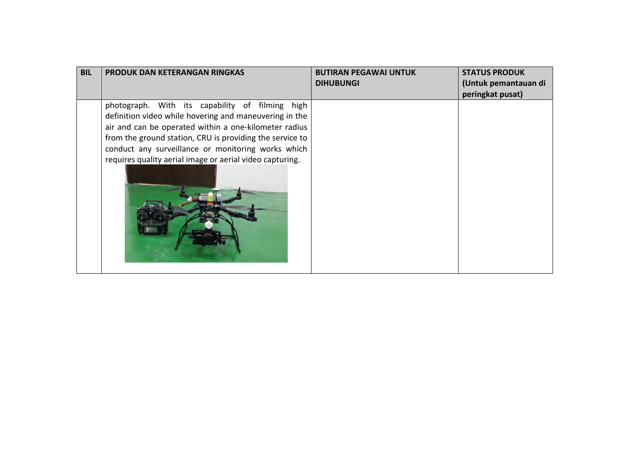| <b>BIL</b> | PRODUK DAN KETERANGAN RINGKAS                            | <b>BUTIRAN PEGAWAI UNTUK</b> | <b>STATUS PRODUK</b> |
|------------|----------------------------------------------------------|------------------------------|----------------------|
|            |                                                          | <b>DIHUBUNGI</b>             | (Untuk pemantauan di |
|            |                                                          |                              | peringkat pusat)     |
|            | photograph. With its capability of filming high          |                              |                      |
|            | definition video while hovering and maneuvering in the   |                              |                      |
|            | air and can be operated within a one-kilometer radius    |                              |                      |
|            | from the ground station, CRU is providing the service to |                              |                      |
|            | conduct any surveillance or monitoring works which       |                              |                      |
|            | requires quality aerial image or aerial video capturing. |                              |                      |
|            |                                                          |                              |                      |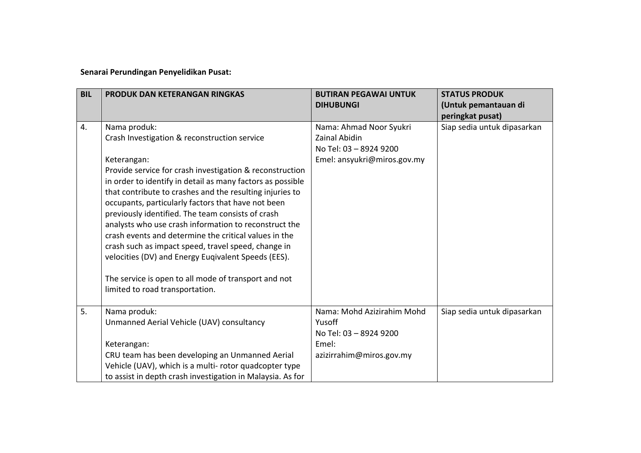**Senarai Perundingan Penyelidikan Pusat:**

| <b>BIL</b> | PRODUK DAN KETERANGAN RINGKAS                                                                                                                                                                                                                                                                                                                                                                                                                                                                                                                                                                                                                                                                           | <b>BUTIRAN PEGAWAI UNTUK</b><br><b>DIHUBUNGI</b>                                                         | <b>STATUS PRODUK</b><br>(Untuk pemantauan di<br>peringkat pusat) |
|------------|---------------------------------------------------------------------------------------------------------------------------------------------------------------------------------------------------------------------------------------------------------------------------------------------------------------------------------------------------------------------------------------------------------------------------------------------------------------------------------------------------------------------------------------------------------------------------------------------------------------------------------------------------------------------------------------------------------|----------------------------------------------------------------------------------------------------------|------------------------------------------------------------------|
| 4.         | Nama produk:<br>Crash Investigation & reconstruction service<br>Keterangan:<br>Provide service for crash investigation & reconstruction<br>in order to identify in detail as many factors as possible<br>that contribute to crashes and the resulting injuries to<br>occupants, particularly factors that have not been<br>previously identified. The team consists of crash<br>analysts who use crash information to reconstruct the<br>crash events and determine the critical values in the<br>crash such as impact speed, travel speed, change in<br>velocities (DV) and Energy Eugivalent Speeds (EES).<br>The service is open to all mode of transport and not<br>limited to road transportation. | Nama: Ahmad Noor Syukri<br><b>Zainal Abidin</b><br>No Tel: 03 - 8924 9200<br>Emel: ansyukri@miros.gov.my | Siap sedia untuk dipasarkan                                      |
| 5.         | Nama produk:<br>Unmanned Aerial Vehicle (UAV) consultancy<br>Keterangan:<br>CRU team has been developing an Unmanned Aerial<br>Vehicle (UAV), which is a multi-rotor quadcopter type<br>to assist in depth crash investigation in Malaysia. As for                                                                                                                                                                                                                                                                                                                                                                                                                                                      | Nama: Mohd Azizirahim Mohd<br>Yusoff<br>No Tel: 03 - 8924 9200<br>Emel:<br>azizirrahim@miros.gov.my      | Siap sedia untuk dipasarkan                                      |